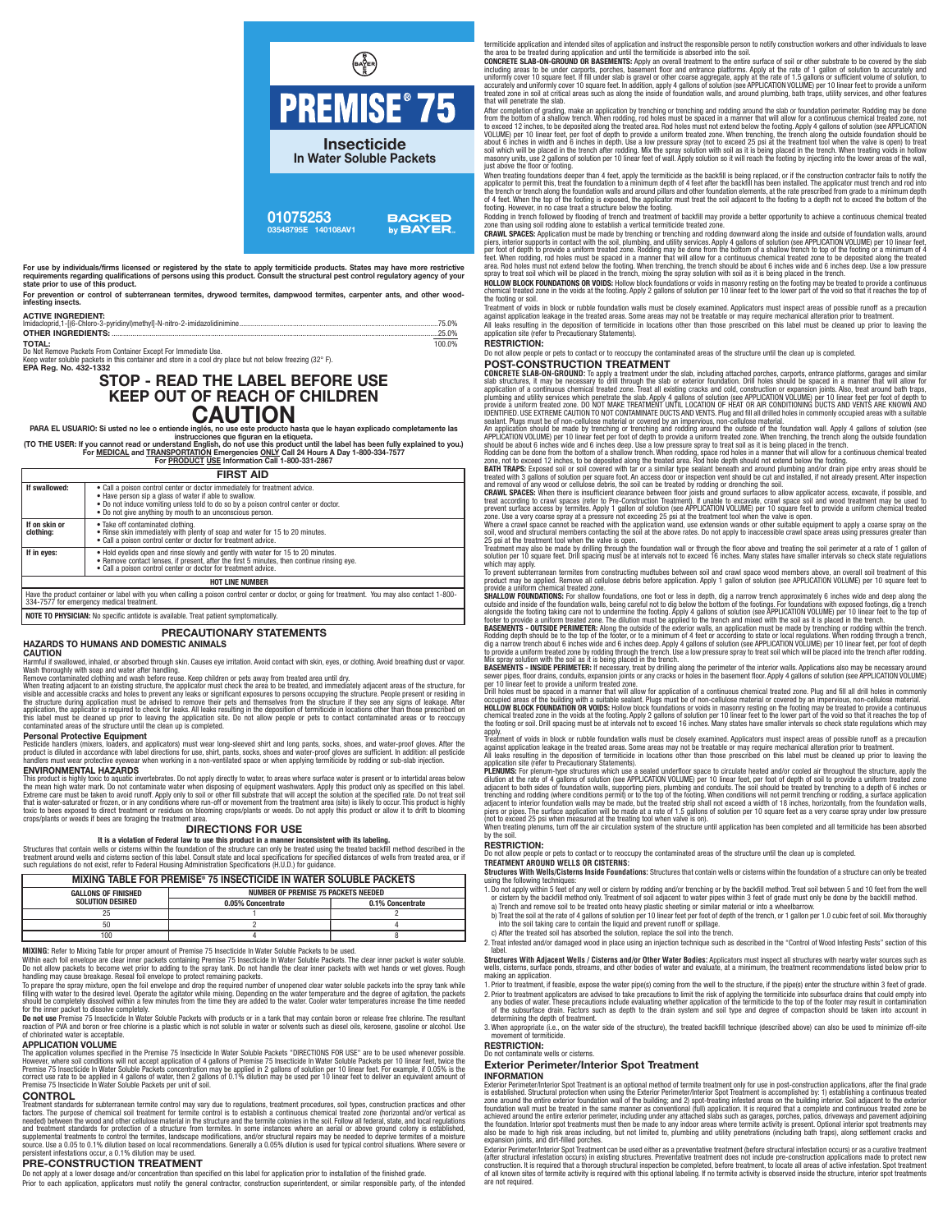**PREMISE® 75** 



 $\begin{pmatrix} 0 & 0 \\ 0 & 0 \\ 0 & 0 \end{pmatrix}$ 

**01075253 BACKED** by BAYER **03548795E 140108AV1**

For use by individuals/firms licensed or registered by the state to apply termiticide products. States may have more restrictive<br>requirements regarding qualifications of persons using this product. Consult the structural p

For prevention or control of subterranean termites, drywood termites, dampwood termites, carpenter ants, and other wood-<br>infesting insects.

**ACTIVE INGREDIENT:** Imidacloprid,1-[(6-Chloro-3-pyridinyl)methyl]-N-nitro-2-imidazolidinimine........................................................................................................75.0% **OTHER INGREDIENTS:** ...........................................................................................................................................................................25.0%

**TOTAL:** 100.0% Do Not Remove Packets From Container Except For Immediate Use.

e nemove i ackets from containor except i or miniculate out.<br>water soluble packets in this container and store in a cool dry place but not below freezing (32° F). **EPA Reg. No. 432-1332**

# **STOP - READ THE LABEL BEFORE USE KEEP OUT OF REACH OF CHILDREN**  $CAUTIO$

**CAUTION**<br>PARA EL USUARIO: Si usted no lee o entiende inglés, no use este producto hasta que le hayan explicado completamente las<br>(TO THE USER: If you cannot read or understand English, do not use this product until the la

| <b>FIRST AID</b>           |                                                                                                                                                                                                                                                                                          |  |  |  |  |
|----------------------------|------------------------------------------------------------------------------------------------------------------------------------------------------------------------------------------------------------------------------------------------------------------------------------------|--|--|--|--|
| If swallowed:              | • Call a poison control center or doctor immediately for treatment advice.<br>• Have person sip a glass of water if able to swallow.<br>• Do not induce vomiting unless told to do so by a poison control center or doctor.<br>. Do not give anything by mouth to an unconscious person. |  |  |  |  |
| If on skin or<br>clothina: | • Take off contaminated clothing.<br>. Rinse skin immediately with plenty of soap and water for 15 to 20 minutes.<br>• Call a poison control center or doctor for treatment advice.                                                                                                      |  |  |  |  |
| If in eves:                | . Hold evelids open and rinse slowly and gently with water for 15 to 20 minutes.<br>. Remove contact lenses, if present, after the first 5 minutes, then continue rinsing eve.<br>. Call a poison control center or doctor for treatment advice.                                         |  |  |  |  |
|                            | <b>HOT LINE NUMBER</b>                                                                                                                                                                                                                                                                   |  |  |  |  |
|                            | Have the product container or label with you when calling a poison control center or doctor, or going for treatment. You may also contact 1-800-<br>334-7577 for emergency medical treatment.                                                                                            |  |  |  |  |
|                            | <b>NOTE TO PHYSICIAN:</b> No specific antidote is available. Treat patient symptomatically.                                                                                                                                                                                              |  |  |  |  |

### PRECAUTIONARY STATEMENTS

# HAZARDS TO HUMANS AND DOMESTIC ANIMALS

Harmful if swallowed, inhaled, or absorbed through skin. Causes eye irritation. Avoid contact with skin, eyes, or clothing. Avoid breathing dust or vapor.

Wash thoroughly with soap and water after handling,<br>Remove containinated clothing and wash before reuse. Keep children or pets away from treated area until dry.<br>When treating adjacent to an existing structure, the applicat

Personal Protective Equipment<br>Pesticide handlers (mixers, loaders, and applicators) must wear long-sleeved shirt and long pants, socks, shoes, and water-proof gloves. After the<br>product is diluded in accordance with label d

ENVIRONNENTAL HAZARDS<br>This product is highly toxic to aquatic invertebrates. Do not apply directly to water, to areas where surface water is present or to intertidal areas below<br>the mean high water mark. Do not contaminate crops/plants or weeds if bees are foraging the treatment area.

## DIRECTIONS FOR USE

**It is a violation of Federal law to use this product in a manner inconsistent with its labeling.**<br>Structures that contain with starting the federal distance that in the structure can only be treated using the treated back

## MIXING TABLE FOR PREMISE® 75 INSECTICIDE IN WATER SOLUBLE PACKETS

| <b>GALLONS OF FINISHED</b> | <b>NUMBER OF PREMISE 75 PACKETS NEEDED</b> |                  |  |
|----------------------------|--------------------------------------------|------------------|--|
| <b>SOLUTION DESIRED</b>    | 0.05% Concentrate                          | 0.1% Concentrate |  |
| $\sim$                     |                                            |                  |  |
| 50                         |                                            |                  |  |
| 100                        |                                            |                  |  |

**MIXING:** Refer to Mixing Table for proper amount of Premise 75 Insecticide In Water Soluble Packets to be used.<br>Within each foil envelope are clear inner packets containing Premise 75 Insecticide In Water Soluble Packets.

**Do not use** Premise 75 Insecticide In Water Soluble Packets with products or in a tank that may contain boron or release free chlorine. The resultant<br>reaction of PVA and boron or free chlorine is a plastic which is not so

**APPLICATION VOLUME**<br>The application volumes specified in the Premise 75 Insecticide In Water Soluble Packets "DIRECTIONS FOR USE" are to be used whenever possible.<br>However, where soil conditions will not accept applicatio

CONTROL<br>Treatment standards for subterranean termite control may vary due to regulations, treatment procedures, soil types, construction practices and other factors. The purpose of chemical soil treatment for termite control is to establish a continuous chemical treated zone (horizontal and/or vertical as<br>needed) between the wood and other cellulose material in the structure a and treatment standards for protection of a structure from termites. In some instances where an aerial or eloc<br>supplemental treatments to control the termites, landscape modifications, and/or structural repairs may be need

### PRE-CONSTRUCTION TREATMENT

Do not apply at a lower dosage and/or concentration than specified on this label for application prior to installation of the finished grade.<br>Prior to each application, applicators must notify the general contractor, const

termiticide application and intended stes of application and instruct the responsible person to notify construction workers and other individuals to leave<br>the area to be treated during application and until the termiticide

that will penetate the slab.<br>After completion of grading, make an application by trenching or trenching and rodding around the slab or foundation perimeter. Rodding may be done<br>from the bottom of a shallow trench. When rod masonry units, use 2 gallons of solution per 10 linear feet of wall. Apply solution so it will reach the footing by injecting into the lower areas of the wall, just above the floor or footing.

When treating foundations deeper than 4 feet, apply the termiticide as the backfill is being replaced, or if the construction contractor fails to notify the<br>applicator to permit this, treat the foundation to a minimum dept

fooding in trench followed by flooding of trench and teatment of backfill may provide a better opportunity to achieve a continuous chemical treated zone than using soil rodding in trench followed by flooding of trench and

are occursy as ooin.<br>Treatment of voids in block or rubble foundation walls must be closely examined. Applicators must inspect areas of possible runoff as a precaution<br>against application leakage in the treated areas. Some All leaks resulting in the deposition of termiticide in locations other than those prescribed on this label must be cleaned up prior to leaving the application site (refer to Precautionary Statements).

### RESTRICTION:

Do not allow people or pets to contact or to reoccupy the contaminated areas of the structure until the clean up is completed.

**POST-CONSTRUCTION TREATMENT**<br>
SOMERFIE SLAB-ON-GROUND: To apply a treatment under the slab, including attached porches, carports, entrance platforms, garages and similar<br>
slab structures, it may be necessary to drill trou

APPLICATION VOLUME) per 10 linear feet per foot of depth to provide a uniform treated zone. When tenching, the trench along the outside foundation should be about 6 inches wide and 6 inches deep. Use a low pressure spray t

Treatment may also be made by drilling through the foundation wall or through the floor above and treating the soil perimeter at a rate of 1 gallon of<br>solution per 10 square feet. Drill spacing must be at intervals not to which may apply.

whur may suppy-<br>To prevent subterranean termites from constructing mudtubes between soil and crawl space wood members above, an overall soil treatment of this<br>product may be applied. Remove all cellulose debris before appl

provide a unit<br>of the studied to the control treated zone.<br>SHALLOW FOUNDATIONS: For shallow foundations, one foot or less in depth, dig a narrow trench approximately 6 inches wide and deep along the<br>alongside and inside of

occupied areas of the building with a suitable sealant. Plugs must be of non-cellulose material or covered by an impervious, non-cellulose material.<br>HOLLOW BLOCK FOUNDATION OR VOIDS: Hollow block foundations or voids in ma

apply.<br>Treatment of voids in block or rubble foundation walls must be closely examined. Applicators must inspect areas of possible runoff as a precaution<br>Treatment of voids in block or rubble foundation walls must be close (not to exceed 25 psi when measured at the treating tool when valve is on).<br>When treating plenums, turn off the air circulation system of the structure until application has been completed and all termiticide has been abso

# by the soil.<br>RESTRICTION

e or pets to contact or to reoccupy the contaminated areas of the structure until the clean up is completed. **TREATMENT AROUND WELLS OR CISTERNS:**

**Structures With Wells/Cisterns Inside Foundations:** Structures that contain wells or cisterns within the foundation of a structure can only be treated using the following techniques:<br>1. Do not apply within 5 feet of any well or cistern by rodding and/or trenching or by the backfill method. Treat soil between 5 and 10 feet from the well

- 
- 1. Do not apply within 5 feet of any well or cistem by rodding and/or trenching or by the backfill method. Treat soil between 5 and 10 feet from the well or cistem by the backfill method only. Treatment of soil adjacent to
- 
- 2. Treat infested and/or damaged wood in place using an injection technique such as described in the "Control of Wood Infesting Pests" section of this label.

Structures With Adjacent Wells / Cisterns and/or Other Water Bodies: Applicators must inspect all structures with nearby water sources such as<br>wells, cisterns, surface ponds, streams, and other bodies of water and evaluate

- making an application.<br>1. Prior to treatment, if feasible, expose the water pipe(s) coming from the well to the structure, if the pipe(s) enter the structure within 3 feet of grade.
- 2. Prior to treatment applicators are advised to take precautions to limit the risk of applying the termiticide into subserver and a couple and a couple and the subserver and the couple end and the couple into the footer m
- 3. When appropriate (i.e., on the water side of the structure), the treated backfill technique (described above) can also be used to minimize off-site movement of termiticide<br>RESTRICTION:

### .**.**<br>a wells or cisterns

**Exterior Perimeter/Interior Spot Treatment**<br>INFORMATION

INFORMATION<br>Exterior Perimeter/Interior Spot Treatment is an optional method of termite treatment only for use in post-construction applications, after the final grade is established. Structural protection when using the Exterior Perimeter/Interior Spot Treatment is accomplished py: 1) establishing a continuous treated areas on the building interior. Soli adjacent to the exterior foundat